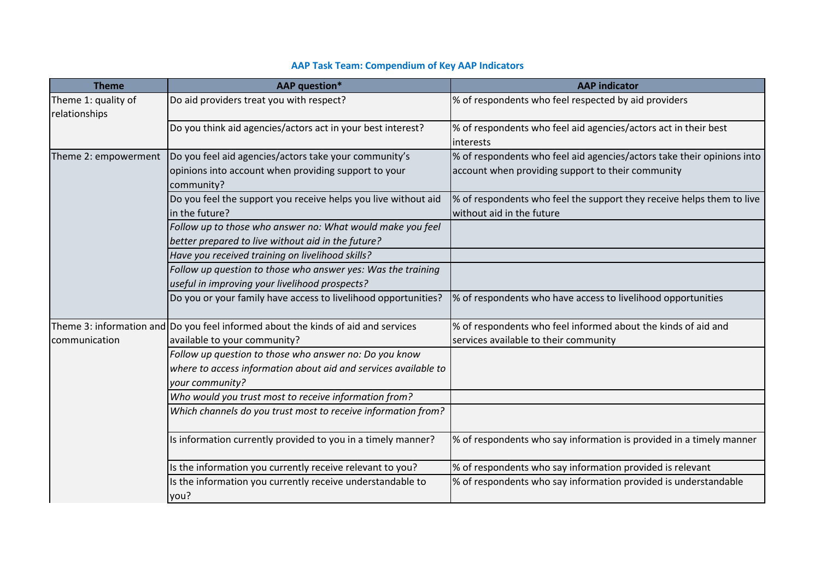| <b>Theme</b>                         | <b>AAP</b> question*                                                                                                                         | <b>AAP</b> indicator                                                                                                        |
|--------------------------------------|----------------------------------------------------------------------------------------------------------------------------------------------|-----------------------------------------------------------------------------------------------------------------------------|
| Theme 1: quality of<br>relationships | Do aid providers treat you with respect?                                                                                                     | % of respondents who feel respected by aid providers                                                                        |
|                                      | Do you think aid agencies/actors act in your best interest?                                                                                  | % of respondents who feel aid agencies/actors act in their best<br>interests                                                |
| Theme 2: empowerment                 | Do you feel aid agencies/actors take your community's<br>opinions into account when providing support to your<br>community?                  | % of respondents who feel aid agencies/actors take their opinions into<br>account when providing support to their community |
|                                      | Do you feel the support you receive helps you live without aid<br>in the future?                                                             | % of respondents who feel the support they receive helps them to live<br>without aid in the future                          |
|                                      | Follow up to those who answer no: What would make you feel<br>better prepared to live without aid in the future?                             |                                                                                                                             |
|                                      | Have you received training on livelihood skills?                                                                                             |                                                                                                                             |
|                                      | Follow up question to those who answer yes: Was the training<br>useful in improving your livelihood prospects?                               |                                                                                                                             |
|                                      | Do you or your family have access to livelihood opportunities?                                                                               | % of respondents who have access to livelihood opportunities                                                                |
|                                      | Theme 3: information and Do you feel informed about the kinds of aid and services                                                            | % of respondents who feel informed about the kinds of aid and                                                               |
| communication                        | available to your community?                                                                                                                 | services available to their community                                                                                       |
|                                      | Follow up question to those who answer no: Do you know<br>where to access information about aid and services available to<br>your community? |                                                                                                                             |
|                                      | Who would you trust most to receive information from?                                                                                        |                                                                                                                             |
|                                      | Which channels do you trust most to receive information from?                                                                                |                                                                                                                             |
|                                      | Is information currently provided to you in a timely manner?                                                                                 | % of respondents who say information is provided in a timely manner                                                         |
|                                      | Is the information you currently receive relevant to you?                                                                                    | % of respondents who say information provided is relevant                                                                   |
|                                      | Is the information you currently receive understandable to<br>you?                                                                           | % of respondents who say information provided is understandable                                                             |

# **AAP Task Team: Compendium of Key AAP Indicators**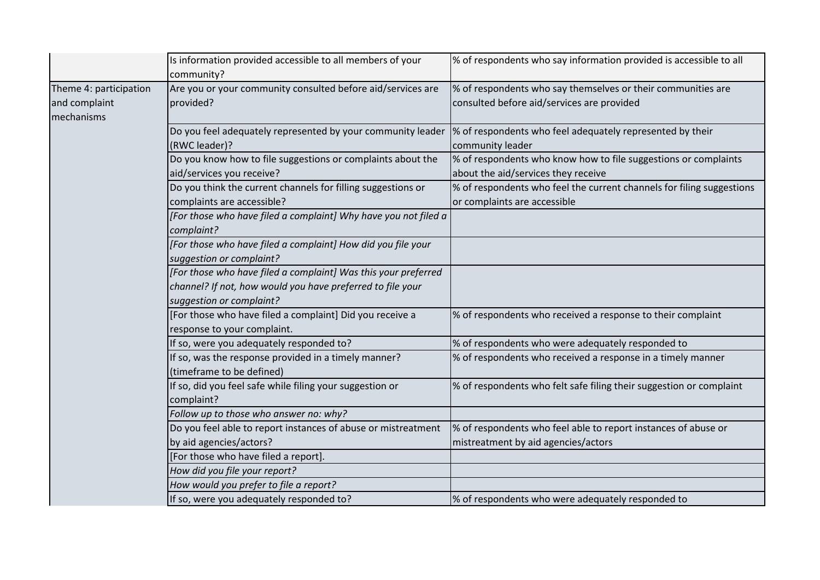|                        | Is information provided accessible to all members of your       | % of respondents who say information provided is accessible to all    |
|------------------------|-----------------------------------------------------------------|-----------------------------------------------------------------------|
|                        | community?                                                      |                                                                       |
| Theme 4: participation | Are you or your community consulted before aid/services are     | % of respondents who say themselves or their communities are          |
| and complaint          | provided?                                                       | consulted before aid/services are provided                            |
| mechanisms             |                                                                 |                                                                       |
|                        | Do you feel adequately represented by your community leader     | % of respondents who feel adequately represented by their             |
|                        | (RWC leader)?                                                   | community leader                                                      |
|                        | Do you know how to file suggestions or complaints about the     | % of respondents who know how to file suggestions or complaints       |
|                        | aid/services you receive?                                       | about the aid/services they receive                                   |
|                        | Do you think the current channels for filling suggestions or    | % of respondents who feel the current channels for filing suggestions |
|                        | complaints are accessible?                                      | or complaints are accessible                                          |
|                        | [For those who have filed a complaint] Why have you not filed a |                                                                       |
|                        | complaint?                                                      |                                                                       |
|                        | [For those who have filed a complaint] How did you file your    |                                                                       |
|                        | suggestion or complaint?                                        |                                                                       |
|                        | [For those who have filed a complaint] Was this your preferred  |                                                                       |
|                        | channel? If not, how would you have preferred to file your      |                                                                       |
|                        | suggestion or complaint?                                        |                                                                       |
|                        | [For those who have filed a complaint] Did you receive a        | % of respondents who received a response to their complaint           |
|                        | response to your complaint.                                     |                                                                       |
|                        | If so, were you adequately responded to?                        | % of respondents who were adequately responded to                     |
|                        | If so, was the response provided in a timely manner?            | % of respondents who received a response in a timely manner           |
|                        | (timeframe to be defined)                                       |                                                                       |
|                        | If so, did you feel safe while filing your suggestion or        | % of respondents who felt safe filing their suggestion or complaint   |
|                        | complaint?                                                      |                                                                       |
|                        | Follow up to those who answer no: why?                          |                                                                       |
|                        | Do you feel able to report instances of abuse or mistreatment   | % of respondents who feel able to report instances of abuse or        |
|                        | by aid agencies/actors?                                         | mistreatment by aid agencies/actors                                   |
|                        | [For those who have filed a report].                            |                                                                       |
|                        | How did you file your report?                                   |                                                                       |
|                        | How would you prefer to file a report?                          |                                                                       |
|                        | If so, were you adequately responded to?                        | % of respondents who were adequately responded to                     |